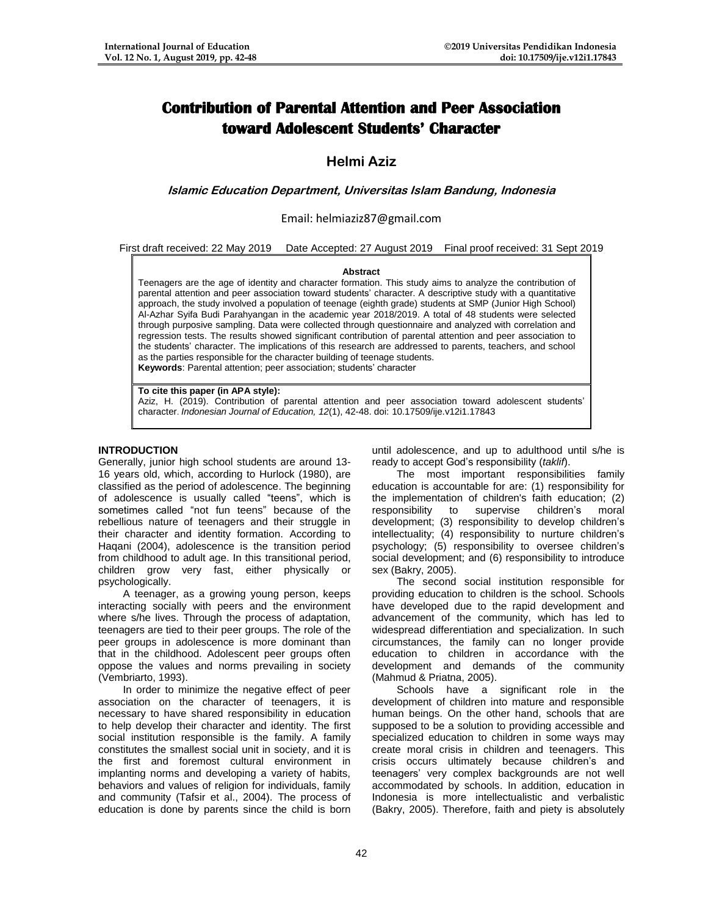# **Contribution of Parental Attention and Peer Association toward Adolescent Students' Character**

## **Helmi Aziz**

## **Islamic Education Department, Universitas Islam Bandung, Indonesia**

## Email: helmiaziz87@gmail.com

#### First draft received: 22 May 2019 Date Accepted: 27 August 2019 Final proof received: 31 Sept 2019

#### **Abstract**

Teenagers are the age of identity and character formation. This study aims to analyze the contribution of parental attention and peer association toward students' character. A descriptive study with a quantitative approach, the study involved a population of teenage (eighth grade) students at SMP (Junior High School) Al-Azhar Syifa Budi Parahyangan in the academic year 2018/2019. A total of 48 students were selected through purposive sampling. Data were collected through questionnaire and analyzed with correlation and regression tests. The results showed significant contribution of parental attention and peer association to the students' character. The implications of this research are addressed to parents, teachers, and school as the parties responsible for the character building of teenage students. **Keywords**: Parental attention; peer association; students' character

#### **To cite this paper (in APA style):**

Aziz, H. (2019). Contribution of parental attention and peer association toward adolescent students' character. *Indonesian Journal of Education, 12*(1), 42-48. doi: 10.17509/ije.v12i1.17843

## **INTRODUCTION**

Generally, junior high school students are around 13- 16 years old, which, according to Hurlock (1980), are classified as the period of adolescence. The beginning of adolescence is usually called "teens", which is sometimes called "not fun teens" because of the rebellious nature of teenagers and their struggle in their character and identity formation. According to Haqani (2004), adolescence is the transition period from childhood to adult age. In this transitional period, children grow very fast, either physically or psychologically.

A teenager, as a growing young person, keeps interacting socially with peers and the environment where s/he lives. Through the process of adaptation, teenagers are tied to their peer groups. The role of the peer groups in adolescence is more dominant than that in the childhood. Adolescent peer groups often oppose the values and norms prevailing in society (Vembriarto, 1993).

In order to minimize the negative effect of peer association on the character of teenagers, it is necessary to have shared responsibility in education to help develop their character and identity. The first social institution responsible is the family. A family constitutes the smallest social unit in society, and it is the first and foremost cultural environment in implanting norms and developing a variety of habits, behaviors and values of religion for individuals, family and community (Tafsir et al., 2004). The process of education is done by parents since the child is born until adolescence, and up to adulthood until s/he is ready to accept God's responsibility (*taklif*).

The most important responsibilities family education is accountable for are: (1) responsibility for the implementation of children's faith education; (2) responsibility to supervise children's moral development; (3) responsibility to develop children's intellectuality; (4) responsibility to nurture children's psychology; (5) responsibility to oversee children's social development; and (6) responsibility to introduce sex (Bakry, 2005).

The second social institution responsible for providing education to children is the school. Schools have developed due to the rapid development and advancement of the community, which has led to widespread differentiation and specialization. In such circumstances, the family can no longer provide education to children in accordance with the development and demands of the community (Mahmud & Priatna, 2005).

Schools have a significant role in the development of children into mature and responsible human beings. On the other hand, schools that are supposed to be a solution to providing accessible and specialized education to children in some ways may create moral crisis in children and teenagers. This crisis occurs ultimately because children's and teenagers' very complex backgrounds are not well accommodated by schools. In addition, education in Indonesia is more intellectualistic and verbalistic (Bakry, 2005). Therefore, faith and piety is absolutely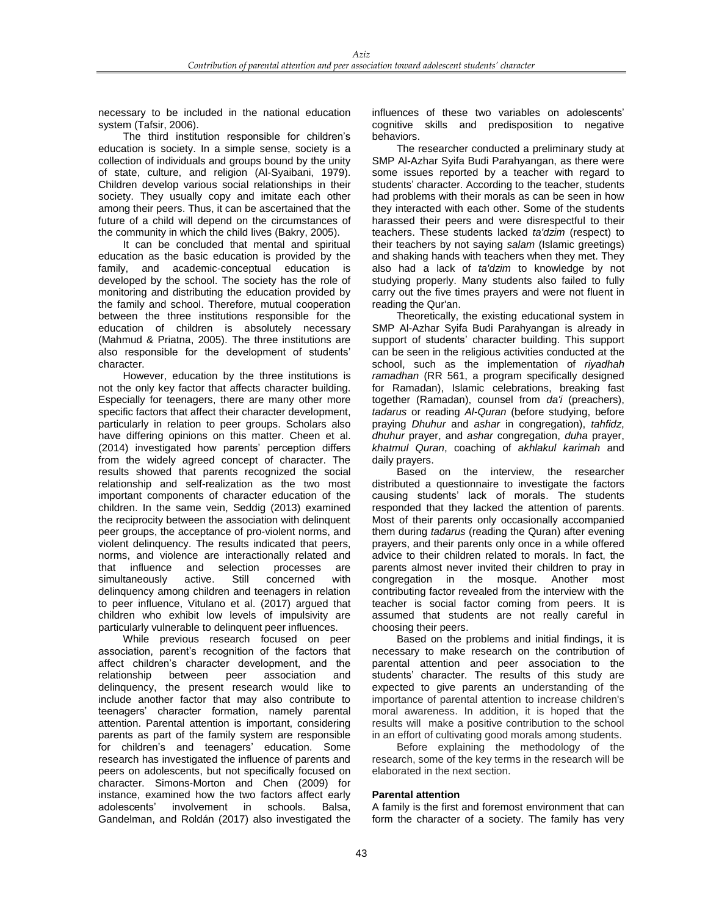necessary to be included in the national education system (Tafsir, 2006).

The third institution responsible for children's education is society. In a simple sense, society is a collection of individuals and groups bound by the unity of state, culture, and religion (Al-Syaibani, 1979). Children develop various social relationships in their society. They usually copy and imitate each other among their peers. Thus, it can be ascertained that the future of a child will depend on the circumstances of the community in which the child lives (Bakry, 2005).

It can be concluded that mental and spiritual education as the basic education is provided by the family, and academic-conceptual education is developed by the school. The society has the role of monitoring and distributing the education provided by the family and school. Therefore, mutual cooperation between the three institutions responsible for the education of children is absolutely necessary (Mahmud & Priatna, 2005). The three institutions are also responsible for the development of students' character.

However, education by the three institutions is not the only key factor that affects character building. Especially for teenagers, there are many other more specific factors that affect their character development, particularly in relation to peer groups. Scholars also have differing opinions on this matter. Cheen et al. (2014) investigated how parents' perception differs from the widely agreed concept of character. The results showed that parents recognized the social relationship and self-realization as the two most important components of character education of the children. In the same vein, Seddig (2013) examined the reciprocity between the association with delinquent peer groups, the acceptance of pro-violent norms, and violent delinquency. The results indicated that peers, norms, and violence are interactionally related and that influence and selection processes are simultaneously active. Still concerned with delinquency among children and teenagers in relation to peer influence, Vitulano et al. (2017) argued that children who exhibit low levels of impulsivity are particularly vulnerable to delinquent peer influences.

While previous research focused on peer association, parent's recognition of the factors that affect children's character development, and the relationship between peer association and delinquency, the present research would like to include another factor that may also contribute to teenagers' character formation, namely parental attention. Parental attention is important, considering parents as part of the family system are responsible for children's and teenagers' education. Some research has investigated the influence of parents and peers on adolescents, but not specifically focused on character. Simons-Morton and Chen (2009) for instance, examined how the two factors affect early adolescents' involvement in schools. Balsa, Gandelman, and Roldán (2017) also investigated the

influences of these two variables on adolescents' cognitive skills and predisposition to negative behaviors.

The researcher conducted a preliminary study at SMP Al-Azhar Syifa Budi Parahyangan, as there were some issues reported by a teacher with regard to students' character. According to the teacher, students had problems with their morals as can be seen in how they interacted with each other. Some of the students harassed their peers and were disrespectful to their teachers. These students lacked *ta'dzim* (respect) to their teachers by not saying *salam* (Islamic greetings) and shaking hands with teachers when they met. They also had a lack of *ta'dzim* to knowledge by not studying properly. Many students also failed to fully carry out the five times prayers and were not fluent in reading the Qur'an.

Theoretically, the existing educational system in SMP Al-Azhar Syifa Budi Parahyangan is already in support of students' character building. This support can be seen in the religious activities conducted at the school, such as the implementation of *riyadhah ramadhan* (RR 561, a program specifically designed for Ramadan), Islamic celebrations, breaking fast together (Ramadan), counsel from *da'i* (preachers), *tadarus* or reading *Al-Quran* (before studying, before praying *Dhuhur* and *ashar* in congregation), *tahfidz*, *dhuhur* prayer, and *ashar* congregation, *duha* prayer, *khatmul Quran*, coaching of *akhlakul karimah* and daily prayers.

Based on the interview, the researcher distributed a questionnaire to investigate the factors causing students' lack of morals. The students responded that they lacked the attention of parents. Most of their parents only occasionally accompanied them during *tadarus* (reading the Quran) after evening prayers, and their parents only once in a while offered advice to their children related to morals. In fact, the parents almost never invited their children to pray in congregation in the mosque. Another most contributing factor revealed from the interview with the teacher is social factor coming from peers. It is assumed that students are not really careful in choosing their peers.

Based on the problems and initial findings, it is necessary to make research on the contribution of parental attention and peer association to the students' character. The results of this study are expected to give parents an understanding of the importance of parental attention to increase children's moral awareness. In addition, it is hoped that the results will make a positive contribution to the school in an effort of cultivating good morals among students.

Before explaining the methodology of the research, some of the key terms in the research will be elaborated in the next section.

## **Parental attention**

A family is the first and foremost environment that can form the character of a society. The family has very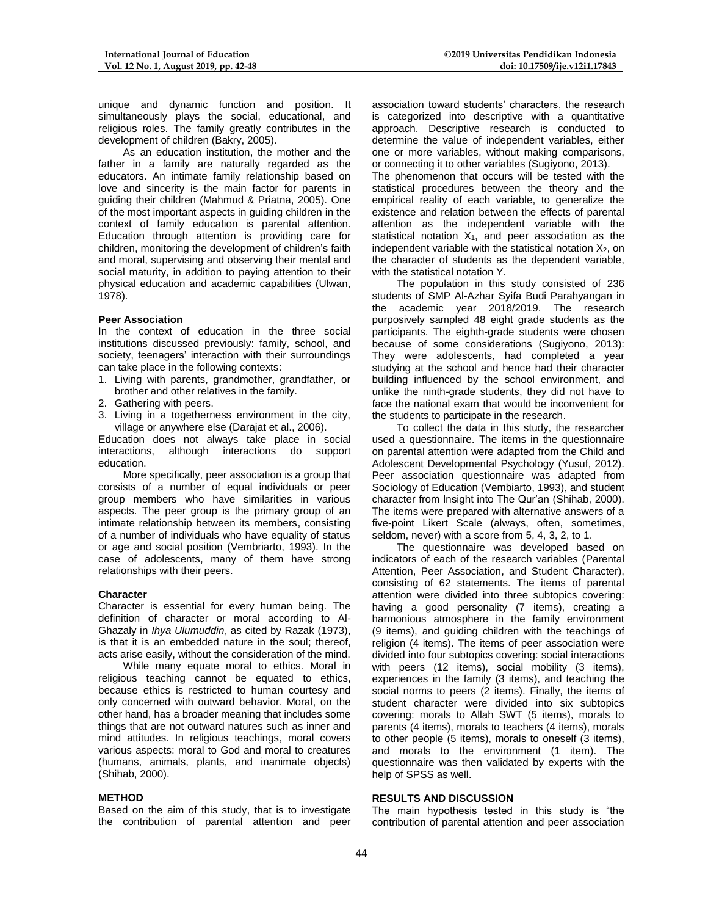unique and dynamic function and position. It simultaneously plays the social, educational, and religious roles. The family greatly contributes in the development of children (Bakry, 2005).

As an education institution, the mother and the father in a family are naturally regarded as the educators. An intimate family relationship based on love and sincerity is the main factor for parents in guiding their children (Mahmud & Priatna, 2005). One of the most important aspects in guiding children in the context of family education is parental attention. Education through attention is providing care for children, monitoring the development of children's faith and moral, supervising and observing their mental and social maturity, in addition to paying attention to their physical education and academic capabilities (Ulwan, 1978).

#### **Peer Association**

In the context of education in the three social institutions discussed previously: family, school, and society, teenagers' interaction with their surroundings can take place in the following contexts:

- 1. Living with parents, grandmother, grandfather, or brother and other relatives in the family.
- 2. Gathering with peers.
- Living in a togetherness environment in the city, village or anywhere else (Darajat et al., 2006).

Education does not always take place in social interactions, although interactions do support education.

More specifically, peer association is a group that consists of a number of equal individuals or peer group members who have similarities in various aspects. The peer group is the primary group of an intimate relationship between its members, consisting of a number of individuals who have equality of status or age and social position (Vembriarto, 1993). In the case of adolescents, many of them have strong relationships with their peers.

#### **Character**

Character is essential for every human being. The definition of character or moral according to Al-Ghazaly in *Ihya Ulumuddin*, as cited by Razak (1973), is that it is an embedded nature in the soul; thereof, acts arise easily, without the consideration of the mind.

While many equate moral to ethics. Moral in religious teaching cannot be equated to ethics, because ethics is restricted to human courtesy and only concerned with outward behavior. Moral, on the other hand, has a broader meaning that includes some things that are not outward natures such as inner and mind attitudes. In religious teachings, moral covers various aspects: moral to God and moral to creatures (humans, animals, plants, and inanimate objects) (Shihab, 2000).

#### **METHOD**

Based on the aim of this study, that is to investigate the contribution of parental attention and peer association toward students' characters, the research is categorized into descriptive with a quantitative approach. Descriptive research is conducted to determine the value of independent variables, either one or more variables, without making comparisons, or connecting it to other variables (Sugiyono, 2013).

The phenomenon that occurs will be tested with the statistical procedures between the theory and the empirical reality of each variable, to generalize the existence and relation between the effects of parental attention as the independent variable with the statistical notation  $X_1$ , and peer association as the independent variable with the statistical notation  $X_2$ , on the character of students as the dependent variable, with the statistical notation Y.

The population in this study consisted of 236 students of SMP Al-Azhar Syifa Budi Parahyangan in the academic year 2018/2019. The research purposively sampled 48 eight grade students as the participants. The eighth-grade students were chosen because of some considerations (Sugiyono, 2013): They were adolescents, had completed a year studying at the school and hence had their character building influenced by the school environment, and unlike the ninth-grade students, they did not have to face the national exam that would be inconvenient for the students to participate in the research.

To collect the data in this study, the researcher used a questionnaire. The items in the questionnaire on parental attention were adapted from the Child and Adolescent Developmental Psychology (Yusuf, 2012). Peer association questionnaire was adapted from Sociology of Education (Vembiarto, 1993), and student character from Insight into The Qur'an (Shihab, 2000). The items were prepared with alternative answers of a five-point Likert Scale (always, often, sometimes, seldom, never) with a score from 5, 4, 3, 2, to 1.

The questionnaire was developed based on indicators of each of the research variables (Parental Attention, Peer Association, and Student Character), consisting of 62 statements. The items of parental attention were divided into three subtopics covering: having a good personality (7 items), creating a harmonious atmosphere in the family environment (9 items), and guiding children with the teachings of religion (4 items). The items of peer association were divided into four subtopics covering: social interactions with peers (12 items), social mobility (3 items), experiences in the family (3 items), and teaching the social norms to peers (2 items). Finally, the items of student character were divided into six subtopics covering: morals to Allah SWT (5 items), morals to parents (4 items), morals to teachers (4 items), morals to other people (5 items), morals to oneself (3 items), and morals to the environment (1 item). The questionnaire was then validated by experts with the help of SPSS as well.

#### **RESULTS AND DISCUSSION**

The main hypothesis tested in this study is "the contribution of parental attention and peer association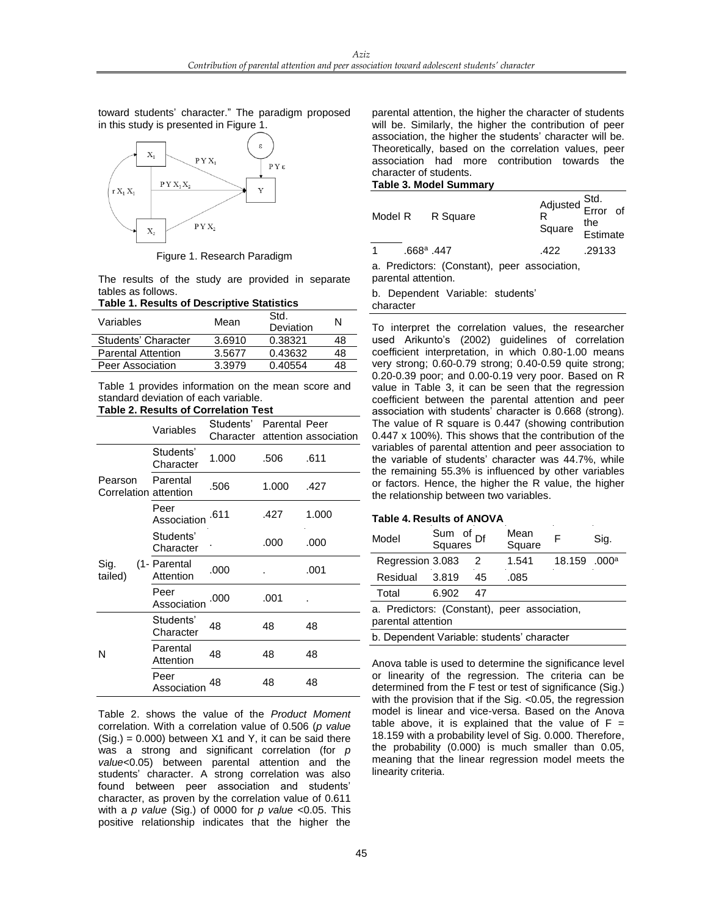toward students' character." The paradigm proposed in this study is presented in Figure 1.



Figure 1. Research Paradigm

The results of the study are provided in separate tables as follows.

## **Table 1. Results of Descriptive Statistics**

| Variables                 | Mean   | Std.<br>Deviation | N  |
|---------------------------|--------|-------------------|----|
| Students' Character       | 3.6910 | 0.38321           | 48 |
| <b>Parental Attention</b> | 3.5677 | 0.43632           | 48 |
| Peer Association          | 3.3979 | 0.40554           | 48 |

Table 1 provides information on the mean score and standard deviation of each variable.

## **Table 2. Results of Correlation Test**

|                                  | Variables                 | Students' Parental Peer |       | Character attention association |
|----------------------------------|---------------------------|-------------------------|-------|---------------------------------|
|                                  | Students'<br>Character    | 1.000                   | .506  | .611                            |
| Pearson<br>Correlation attention | Parental                  | .506                    | 1.000 | .427                            |
|                                  | Peer<br>Association       | .611                    | .427  | 1.000                           |
|                                  | Students'<br>Character    |                         | .000  | .000                            |
| Sig.<br>tailed)                  | (1- Parental<br>Attention | .000                    |       | .001                            |
|                                  | Peer<br>Association       | .000                    | .001  |                                 |
|                                  | Students'<br>Character    | 48                      | 48    | 48                              |
| N                                | Parental<br>Attention     | 48                      | 48    | 48                              |
|                                  | Peer<br>Association       | 48                      | 48    | 48                              |

Table 2. shows the value of the *Product Moment* correlation. With a correlation value of 0.506 (*p value*  $(Siq.) = 0.000$ ) between X1 and Y, it can be said there was a strong and significant correlation (for *p value*<0.05) between parental attention and the students' character. A strong correlation was also found between peer association and students' character, as proven by the correlation value of 0.611 with a *p value* (Sig.) of 0000 for *p value* <0.05. This positive relationship indicates that the higher the

parental attention, the higher the character of students will be. Similarly, the higher the contribution of peer association, the higher the students' character will be. Theoretically, based on the correlation values, peer association had more contribution towards the character of students.

## **Table 3. Model Summary**

|           |                            | Model R R Square                             | Adjusted Std.<br>R<br>Square the<br>Estimate |        |  |
|-----------|----------------------------|----------------------------------------------|----------------------------------------------|--------|--|
| $1 \quad$ | $.668$ <sup>a</sup> $.447$ |                                              | .422                                         | .29133 |  |
|           |                            | a. Predictors: (Constant), peer association, |                                              |        |  |

parental attention.

b. Dependent Variable: students'

character

To interpret the correlation values, the researcher used Arikunto's (2002) guidelines of correlation coefficient interpretation, in which 0.80-1.00 means very strong; 0.60-0.79 strong; 0.40-0.59 quite strong; 0.20-0.39 poor; and 0.00-0.19 very poor. Based on R value in Table 3, it can be seen that the regression coefficient between the parental attention and peer association with students' character is 0.668 (strong). The value of R square is 0.447 (showing contribution 0.447 x 100%). This shows that the contribution of the variables of parental attention and peer association to the variable of students' character was 44.7%, while the remaining 55.3% is influenced by other variables or factors. Hence, the higher the R value, the higher the relationship between two variables.

## **Table 4. Results of ANOVA**

| Model                                                              | Sum of Df<br>Squares Df |    | Mean<br>Square | F      | Sig.              |  |
|--------------------------------------------------------------------|-------------------------|----|----------------|--------|-------------------|--|
| Regression 3.083                                                   |                         | 2  | 1.541          | 18.159 | .000 <sup>a</sup> |  |
| Residual                                                           | 3.819                   | 45 | .085           |        |                   |  |
| Total                                                              | 6.902                   | 47 |                |        |                   |  |
| a. Predictors: (Constant), peer association,<br>parental attention |                         |    |                |        |                   |  |
| b. Dependent Variable: students' character                         |                         |    |                |        |                   |  |

Anova table is used to determine the significance level or linearity of the regression. The criteria can be determined from the F test or test of significance (Sig.) with the provision that if the Sig. <0.05, the regression model is linear and vice-versa. Based on the Anova table above, it is explained that the value of  $F =$ 18.159 with a probability level of Sig. 0.000. Therefore, the probability (0.000) is much smaller than 0.05, meaning that the linear regression model meets the linearity criteria.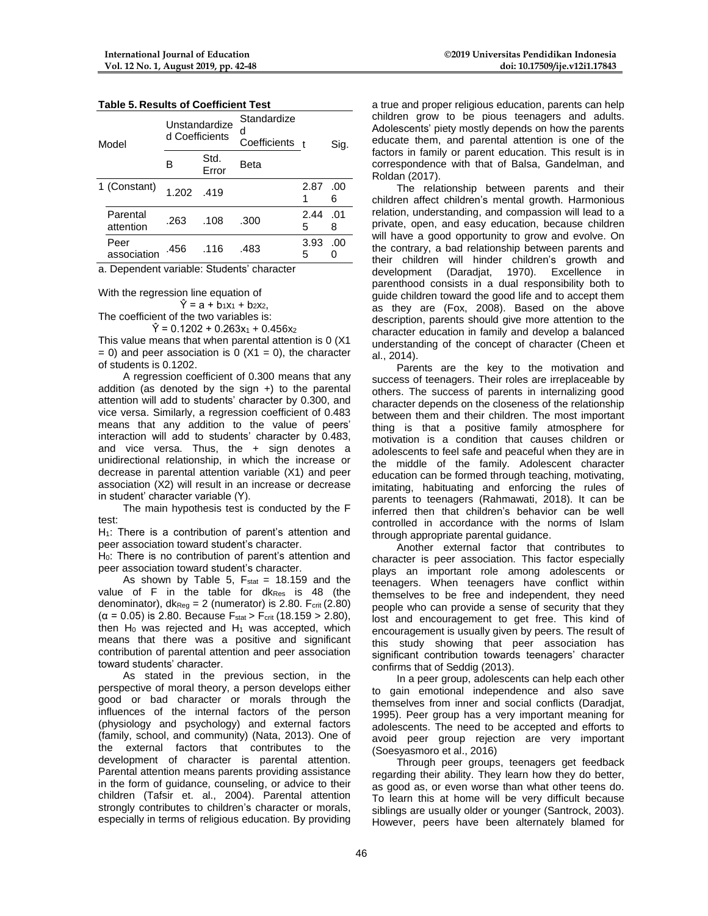| <b>Table 5. Results of Coefficient Test</b> |  |  |
|---------------------------------------------|--|--|
|                                             |  |  |

| Model |                       | Unstandardize<br>d Coefficients |               | Standardize<br>d<br>Coefficients t |           | Sig.     |
|-------|-----------------------|---------------------------------|---------------|------------------------------------|-----------|----------|
|       |                       | в                               | Std.<br>Error | Beta                               |           |          |
|       | 1 (Constant)          | 1.202                           | .419          |                                    | 2.87      | .00<br>6 |
|       | Parental<br>attention | .263                            | .108          | .300                               | 2.44<br>5 | .01<br>8 |
|       | Peer<br>association   | .456                            | .116          | .483                               | 3.93<br>5 | .00      |

a. Dependent variable: Students' character

With the regression line equation of  $\hat{Y} = a + b_1x_1 + b_2x_2$ 

The coefficient of the two variables is:

 $\hat{Y} = 0.1202 + 0.263x_1 + 0.456x_2$ 

This value means that when parental attention is 0 (X1  $= 0$ ) and peer association is 0 (X1 = 0), the character of students is 0.1202.

A regression coefficient of 0.300 means that any addition (as denoted by the sign  $+$ ) to the parental attention will add to students' character by 0.300, and vice versa. Similarly, a regression coefficient of 0.483 means that any addition to the value of peers' interaction will add to students' character by 0.483, and vice versa. Thus, the + sign denotes a unidirectional relationship, in which the increase or decrease in parental attention variable (X1) and peer association (X2) will result in an increase or decrease in student' character variable (Y).

The main hypothesis test is conducted by the F test:

 $H_1$ : There is a contribution of parent's attention and peer association toward student's character.

H<sub>0</sub>: There is no contribution of parent's attention and peer association toward student's character.

As shown by Table 5,  $F_{stat} = 18.159$  and the value of F in the table for dk<sub>Res</sub> is 48 (the denominator),  $dk_{\text{Re}q} = 2$  (numerator) is 2.80. F<sub>crit</sub> (2.80) ( $\alpha$  = 0.05) is 2.80. Because F<sub>stat</sub> > F<sub>crit</sub> (18.159 > 2.80), then  $H_0$  was rejected and  $H_1$  was accepted, which means that there was a positive and significant contribution of parental attention and peer association toward students' character.

As stated in the previous section, in the perspective of moral theory, a person develops either good or bad character or morals through the influences of the internal factors of the person (physiology and psychology) and external factors (family, school, and community) (Nata, 2013). One of the external factors that contributes to the development of character is parental attention. Parental attention means parents providing assistance in the form of guidance, counseling, or advice to their children (Tafsir et. al., 2004). Parental attention strongly contributes to children's character or morals, especially in terms of religious education. By providing

a true and proper religious education, parents can help children grow to be pious teenagers and adults. Adolescents' piety mostly depends on how the parents educate them, and parental attention is one of the factors in family or parent education. This result is in correspondence with that of Balsa, Gandelman, and Roldan (2017).

The relationship between parents and their children affect children's mental growth. Harmonious relation, understanding, and compassion will lead to a private, open, and easy education, because children will have a good opportunity to grow and evolve. On the contrary, a bad relationship between parents and their children will hinder children's growth and<br>development (Daradiat. 1970). Excellence in development (Daradjat, 1970). Excellence in parenthood consists in a dual responsibility both to guide children toward the good life and to accept them as they are (Fox, 2008). Based on the above description, parents should give more attention to the character education in family and develop a balanced understanding of the concept of character (Cheen et al., 2014).

Parents are the key to the motivation and success of teenagers. Their roles are irreplaceable by others. The success of parents in internalizing good character depends on the closeness of the relationship between them and their children. The most important thing is that a positive family atmosphere for motivation is a condition that causes children or adolescents to feel safe and peaceful when they are in the middle of the family. Adolescent character education can be formed through teaching, motivating, imitating, habituating and enforcing the rules of parents to teenagers (Rahmawati, 2018). It can be inferred then that children's behavior can be well controlled in accordance with the norms of Islam through appropriate parental guidance.

Another external factor that contributes to character is peer association. This factor especially plays an important role among adolescents or teenagers. When teenagers have conflict within themselves to be free and independent, they need people who can provide a sense of security that they lost and encouragement to get free. This kind of encouragement is usually given by peers. The result of this study showing that peer association has significant contribution towards teenagers' character confirms that of Seddig (2013).

In a peer group, adolescents can help each other to gain emotional independence and also save themselves from inner and social conflicts (Daradjat, 1995). Peer group has a very important meaning for adolescents. The need to be accepted and efforts to avoid peer group rejection are very important (Soesyasmoro et al., 2016)

Through peer groups, teenagers get feedback regarding their ability. They learn how they do better, as good as, or even worse than what other teens do. To learn this at home will be very difficult because siblings are usually older or younger (Santrock, 2003). However, peers have been alternately blamed for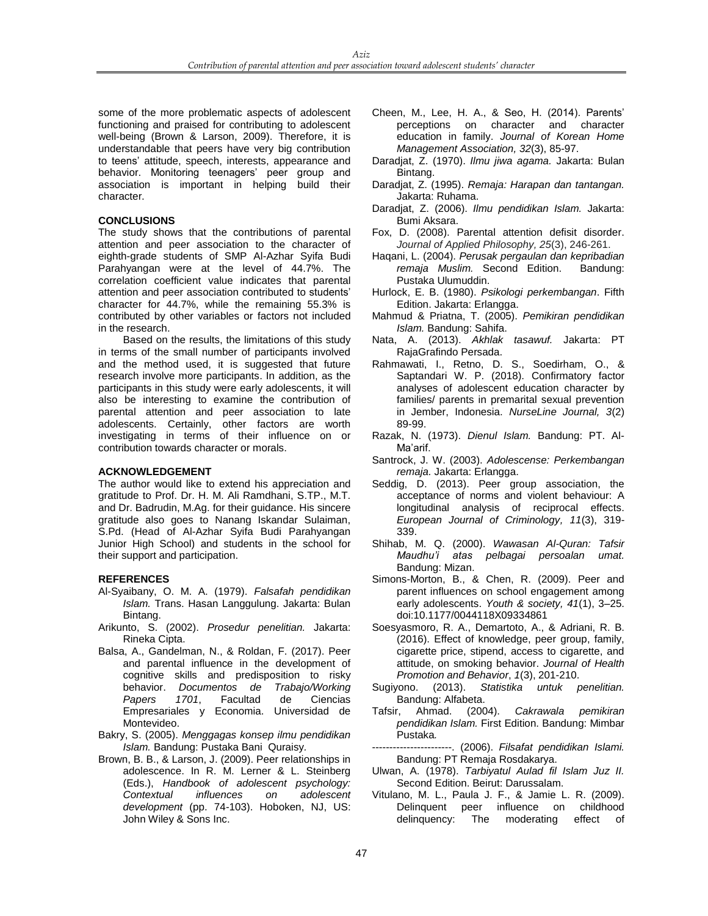some of the more problematic aspects of adolescent functioning and praised for contributing to adolescent well-being (Brown & Larson, 2009). Therefore, it is understandable that peers have very big contribution to teens' attitude, speech, interests, appearance and behavior. Monitoring teenagers' peer group and association is important in helping build their character.

#### **CONCLUSIONS**

The study shows that the contributions of parental attention and peer association to the character of eighth-grade students of SMP Al-Azhar Syifa Budi Parahyangan were at the level of 44.7%. The correlation coefficient value indicates that parental attention and peer association contributed to students' character for 44.7%, while the remaining 55.3% is contributed by other variables or factors not included in the research.

Based on the results, the limitations of this study in terms of the small number of participants involved and the method used, it is suggested that future research involve more participants. In addition, as the participants in this study were early adolescents, it will also be interesting to examine the contribution of parental attention and peer association to late adolescents. Certainly, other factors are worth investigating in terms of their influence on or contribution towards character or morals.

#### **ACKNOWLEDGEMENT**

The author would like to extend his appreciation and gratitude to Prof. Dr. H. M. Ali Ramdhani, S.TP., M.T. and Dr. Badrudin, M.Ag. for their guidance. His sincere gratitude also goes to Nanang Iskandar Sulaiman, S.Pd. (Head of Al-Azhar Syifa Budi Parahyangan Junior High School) and students in the school for their support and participation.

## **REFERENCES**

- Al-Syaibany, O. M. A. (1979). *Falsafah pendidikan Islam.* Trans. Hasan Langgulung. Jakarta: Bulan Bintang.
- Arikunto, S. (2002). *Prosedur penelitian.* Jakarta: Rineka Cipta.
- Balsa, A., Gandelman, N., & Roldan, F. (2017). Peer and parental influence in the development of cognitive skills and predisposition to risky<br>behavior. Documentos de Trabajo/Working behavior. *Documentos de Papers 1701*, Facultad de Ciencias Empresariales y Economia. Universidad de Montevideo.
- Bakry, S. (2005). *Menggagas konsep ilmu pendidikan Islam.* Bandung: Pustaka Bani Quraisy*.*
- Brown, B. B., & Larson, J. (2009). Peer relationships in adolescence. In R. M. Lerner & L. Steinberg (Eds.), *Handbook of adolescent psychology: Contextual influences on adolescent development* (pp. 74-103). Hoboken, NJ, US: John Wiley & Sons Inc.
- Cheen, M., Lee, H. A., & Seo, H. (2014). Parents' perceptions on character and character education in family. *Journal of Korean Home Management Association, 32*(3), 85-97.
- Daradjat, Z. (1970). *Ilmu jiwa agama.* Jakarta: Bulan Bintang.
- Daradjat, Z. (1995). *Remaja: Harapan dan tantangan.*  Jakarta: Ruhama.
- Daradjat, Z. (2006). *Ilmu pendidikan Islam.* Jakarta: Bumi Aksara.
- Fox, D. (2008). Parental attention defisit disorder. *Journal of Applied Philosophy, 25*(3), 246-261.
- Haqani, L. (2004). *Perusak pergaulan dan kepribadian*  remaja Muslim. Second Edition. Pustaka Ulumuddin.
- Hurlock, E. B. (1980). *Psikologi perkembangan*. Fifth Edition. Jakarta: Erlangga.
- Mahmud & Priatna, T. (2005). *Pemikiran pendidikan Islam.* Bandung: Sahifa.
- Nata, A. (2013). *Akhlak tasawuf.* Jakarta: PT RajaGrafindo Persada.
- Rahmawati, I., Retno, D. S., Soedirham, O., & Saptandari W. P. (2018). Confirmatory factor analyses of adolescent education character by families/ parents in premarital sexual prevention in Jember, Indonesia. *NurseLine Journal, 3*(2) 89-99.
- Razak, N. (1973). *Dienul Islam.* Bandung: PT. Al-Ma'arif.
- Santrock, J. W. (2003). *Adolescense: Perkembangan remaja.* Jakarta: Erlangga.
- Seddig, D. (2013). Peer group association, the acceptance of norms and violent behaviour: A longitudinal analysis of reciprocal effects. *European Journal of Criminology, 11*(3), 319- 339.
- Shihab, M. Q. (2000). *Wawasan Al-Quran: Tafsir Maudhu'i atas pelbagai persoalan umat.*  Bandung: Mizan.
- Simons-Morton, B., & Chen, R. (2009). Peer and parent influences on school engagement among early adolescents. *Youth & society, 41*(1), 3–25. doi:10.1177/0044118X09334861
- Soesyasmoro, R. A., Demartoto, A., & Adriani, R. B. (2016). Effect of knowledge, peer group, family, cigarette price, stipend, access to cigarette, and attitude, on smoking behavior. *Journal of Health Promotion and Behavior, 1*(3), 201-210.<br>Sugiyono. (2013). Statistika untuk p
- Statistika untuk penelitian. Bandung: Alfabeta.
- Tafsir, Ahmad. (2004). *Cakrawala pemikiran pendidikan Islam.* First Edition. Bandung: Mimbar Pustaka*.*
- -----------------------. (2006). *Filsafat pendidikan Islami.*  Bandung: PT Remaja Rosdakarya.
- Ulwan, A. (1978). *Tarbiyatul Aulad fil Islam Juz II.*  Second Edition. Beirut: Darussalam.
- Vitulano, M. L., Paula J. F., & Jamie L. R. (2009). Delinquent peer influence on childhood<br>delinquency: The moderating effect of delinquency: The moderating